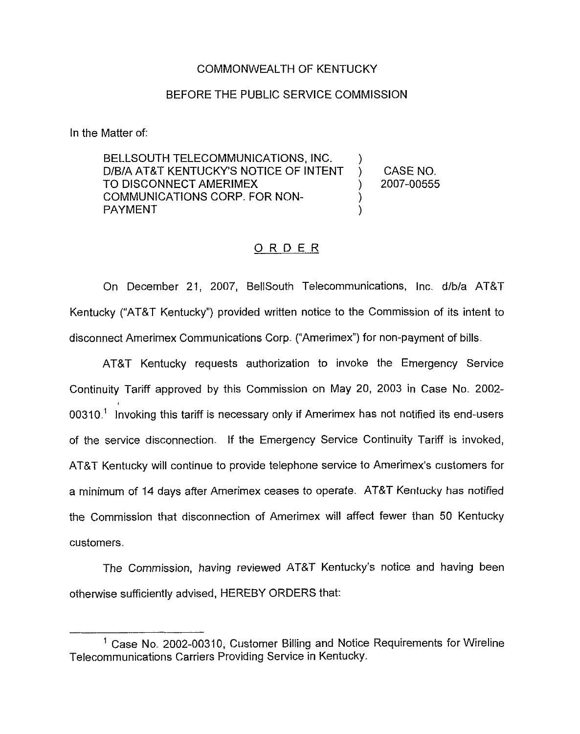## COMMONWEALTH OF KENTUCKY

## BEFORE THE PUBLIC SERVICE COMMISSION

In the Matter of:

BELLSOUTH TELECOMMUNICATIONS, INC. D/B/A AT&T KENTUCKYS NOTICE OF INTENT TO DISCONNECT AMERIMEX COMMUNICATIONS CORP. FOR NON-PAYMENT ) ) CASE NO. ) 2007-00555 ) )

## ORDER

On December 21, 2007, BellSouth Telecommunications, Inc. d/b/a AT&T Kentucky ("AT&T Kentucky") provided written notice to the Commission of its intent to disconnect Amerimex Communications Corp. ("Amerimex") for non-payment of bills.

AT&T Kentucky requests authorization to invoke the Emergency Service Continuity Tariff approved by this Commission on May 20, 2003 in Case No. 2002-  $00310<sup>1</sup>$  Invoking this tariff is necessary only if Amerimex has not notified its end-users of the service disconnection. If the Emergency Service Continuity Tariff is invoked, AT&T Kentucky will continue to provide telephone service to Amerimex's customers for a minimum of 14 days after Amerimex ceases to operate. AT&T Kentucky has notified the Commission that disconnection of Amerimex will affect fewer than 50 Kentucky customers.

The Commission, having reviewed AT&T Kentucky's notice and having been otherwise sufficiently advised, HEREBY ORDERS that:

 $<sup>1</sup>$  Case No. 2002-00310, Customer Billing and Notice Requirements for Wireline</sup> Telecommunications Carriers Providing Service in Kentucky.,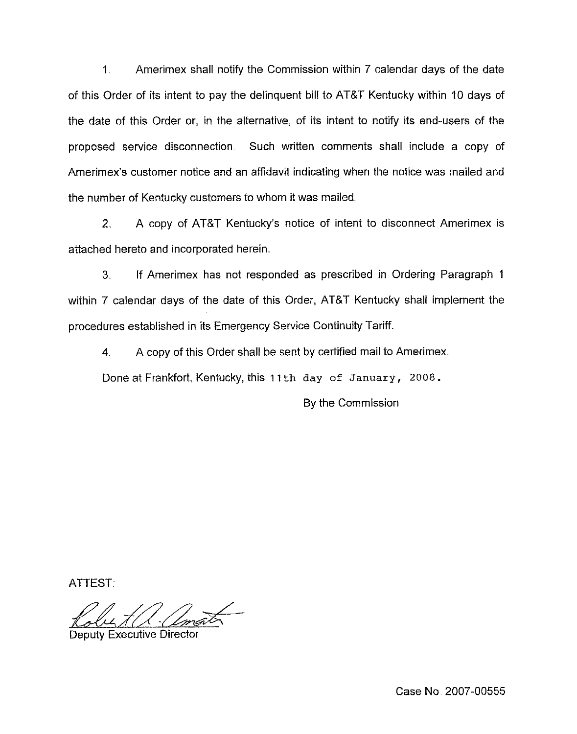<sup>1</sup> Amerimex shall notify the Commission within 7 calendar days of the date of this Order of its intent to pay the delinquent bill to AT&T Kentucky within 10 days of the date of this Order or, in the alternative, of its intent to notify its end-users of the proposed service disconnection, Such written comments shall include a copy of Amerimex's customer notice and an affidavit indicating when the notice was mailed and the number of Kentucky customers to whom it was mailed.

2. A copy of AT&T Kentucky's notice of intent to disconnect Amerimex is attached hereto and incorporated herein.

3. If Amerimex has not responded as prescribed in Ordering Paragraph <sup>1</sup> within 7 calendar days of the date of this Order, AT&T Kentucky shall implement the procedures established in its Emergency Service Continuity Tariff.

4. A copy of this Order shall be sent by certified mail to Amerimex.

Done at Frankfort, Kentucky, this 11th day of January, 2008.

By the Commission

ATTEST

Deputy Executive Director

Case No 2007-00555